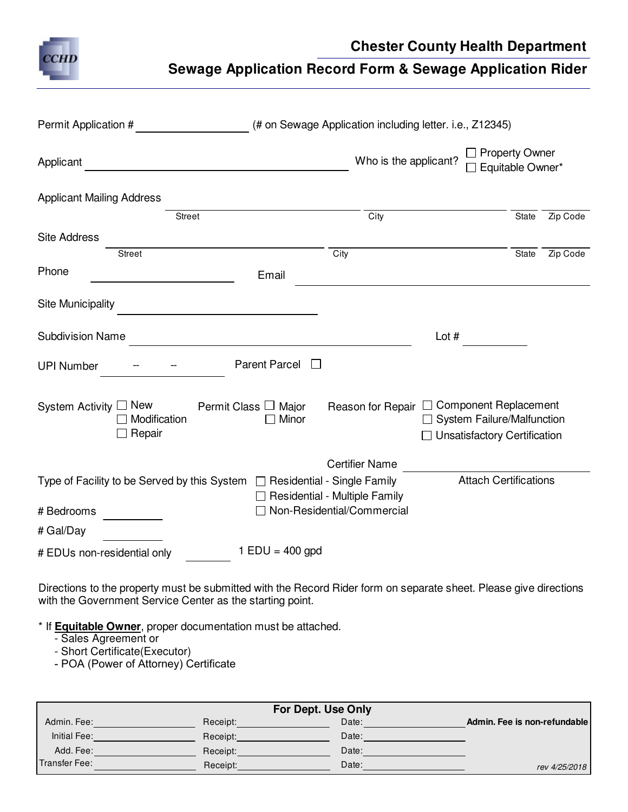

## **Chester County Health Department**

## **Sewage Application Record Form & Sewage Application Rider**

| Permit Application #             |                        | (# on Sewage Application including letter. i.e., Z12345)                        |                                                               |                                                                     |              |          |  |
|----------------------------------|------------------------|---------------------------------------------------------------------------------|---------------------------------------------------------------|---------------------------------------------------------------------|--------------|----------|--|
| Applicant                        |                        |                                                                                 | □ Property Owner<br>Who is the applicant?<br>Equitable Owner* |                                                                     |              |          |  |
| <b>Applicant Mailing Address</b> |                        |                                                                                 |                                                               |                                                                     |              |          |  |
|                                  | <b>Street</b>          |                                                                                 | City                                                          |                                                                     | <b>State</b> | Zip Code |  |
| <b>Site Address</b>              |                        |                                                                                 |                                                               |                                                                     |              |          |  |
|                                  | <b>Street</b>          |                                                                                 | $\overline{City}$                                             |                                                                     | State        | Zip Code |  |
| Phone                            |                        | Email                                                                           |                                                               |                                                                     |              |          |  |
| <b>Site Municipality</b>         |                        |                                                                                 |                                                               |                                                                     |              |          |  |
| <b>Subdivision Name</b>          |                        |                                                                                 |                                                               | Lot $#$                                                             |              |          |  |
| <b>UPI Number</b>                |                        | <b>Parent Parcel</b>                                                            |                                                               |                                                                     |              |          |  |
| System Activity $\square$ New    | Modification<br>Repair | Permit Class □ Major<br>Minor<br>$\mathbf{L}$                                   |                                                               | □ System Failure/Malfunction<br><b>Unsatisfactory Certification</b> |              |          |  |
|                                  |                        |                                                                                 | <b>Certifier Name</b>                                         |                                                                     |              |          |  |
| # Bedrooms                       |                        | Type of Facility to be Served by this System $\Box$ Residential - Single Family | Residential - Multiple Family<br>Non-Residential/Commercial   | <b>Attach Certifications</b>                                        |              |          |  |
| # Gal/Day                        |                        |                                                                                 |                                                               |                                                                     |              |          |  |
| # EDUs non-residential only      |                        | $1$ EDU = 400 gpd                                                               |                                                               |                                                                     |              |          |  |

Directions to the property must be submitted with the Record Rider form on separate sheet. Please give directions with the Government Service Center as the starting point.

- \* If **Equitable Owner**, proper documentation must be attached.
	- Sales Agreement or
	- Short Certificate(Executor)
	- POA (Power of Attorney) Certificate

| For Dept. Use Only |          |       |                              |  |  |
|--------------------|----------|-------|------------------------------|--|--|
| Admin, Fee:        | Receipt: | Date: | Admin. Fee is non-refundable |  |  |
| Initial Fee:       | Receipt: | Date: |                              |  |  |
| Add. Fee:          | Receipt: | Date: |                              |  |  |
| Transfer Fee:      | Receipt: | Date: | rev 4/25/2018                |  |  |